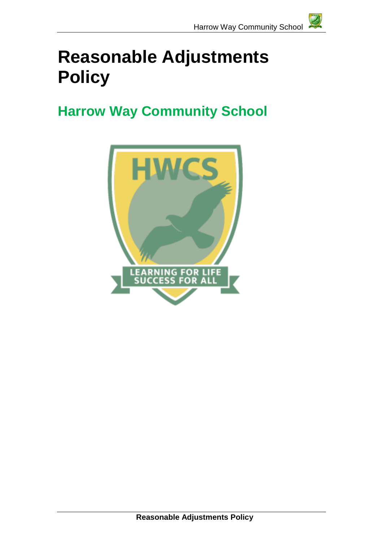# **Reasonable Adjustments Policy**

## **Harrow Way Community School**

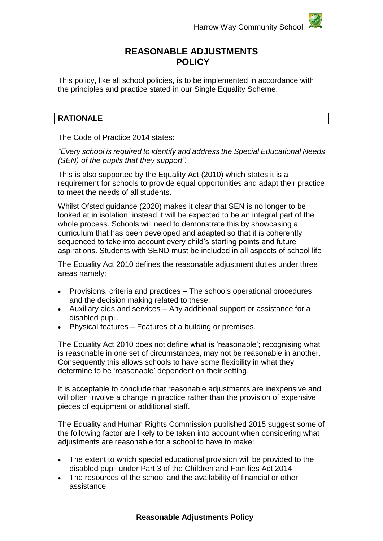### **REASONABLE ADJUSTMENTS POLICY**

This policy, like all school policies, is to be implemented in accordance with the principles and practice stated in our Single Equality Scheme.

#### **RATIONALE**

The Code of Practice 2014 states:

*"Every school is required to identify and address the Special Educational Needs (SEN) of the pupils that they support".*

This is also supported by the Equality Act (2010) which states it is a requirement for schools to provide equal opportunities and adapt their practice to meet the needs of all students.

Whilst Ofsted guidance (2020) makes it clear that SEN is no longer to be looked at in isolation, instead it will be expected to be an integral part of the whole process. Schools will need to demonstrate this by showcasing a curriculum that has been developed and adapted so that it is coherently sequenced to take into account every child's starting points and future aspirations. Students with SEND must be included in all aspects of school life

The Equality Act 2010 defines the reasonable adjustment duties under three areas namely:

- Provisions, criteria and practices The schools operational procedures and the decision making related to these.
- Auxiliary aids and services Any additional support or assistance for a disabled pupil.
- Physical features Features of a building or premises.

The Equality Act 2010 does not define what is 'reasonable'; recognising what is reasonable in one set of circumstances, may not be reasonable in another. Consequently this allows schools to have some flexibility in what they determine to be 'reasonable' dependent on their setting.

It is acceptable to conclude that reasonable adjustments are inexpensive and will often involve a change in practice rather than the provision of expensive pieces of equipment or additional staff.

The Equality and Human Rights Commission published 2015 suggest some of the following factor are likely to be taken into account when considering what adjustments are reasonable for a school to have to make:

- The extent to which special educational provision will be provided to the disabled pupil under Part 3 of the Children and Families Act 2014
- The resources of the school and the availability of financial or other assistance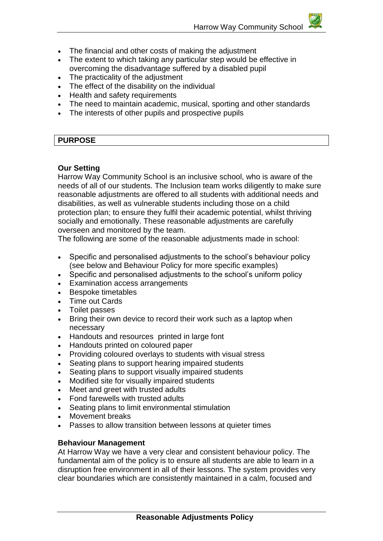- The financial and other costs of making the adjustment
- The extent to which taking any particular step would be effective in overcoming the disadvantage suffered by a disabled pupil
- The practicality of the adjustment
- The effect of the disability on the individual
- Health and safety requirements
- The need to maintain academic, musical, sporting and other standards
- The interests of other pupils and prospective pupils

#### **PURPOSE**

#### **Our Setting**

Harrow Way Community School is an inclusive school, who is aware of the needs of all of our students. The Inclusion team works diligently to make sure reasonable adjustments are offered to all students with additional needs and disabilities, as well as vulnerable students including those on a child protection plan; to ensure they fulfil their academic potential, whilst thriving socially and emotionally. These reasonable adjustments are carefully overseen and monitored by the team.

The following are some of the reasonable adjustments made in school:

- Specific and personalised adjustments to the school's behaviour policy (see below and Behaviour Policy for more specific examples)
- Specific and personalised adjustments to the school's uniform policy
- Examination access arrangements
- Bespoke timetables
- Time out Cards
- Toilet passes
- Bring their own device to record their work such as a laptop when necessary
- Handouts and resources printed in large font
- Handouts printed on coloured paper
- Providing coloured overlays to students with visual stress
- Seating plans to support hearing impaired students
- Seating plans to support visually impaired students
- Modified site for visually impaired students
- Meet and greet with trusted adults
- Fond farewells with trusted adults
- Seating plans to limit environmental stimulation
- Movement breaks
- Passes to allow transition between lessons at quieter times

#### **Behaviour Management**

At Harrow Way we have a very clear and consistent behaviour policy. The fundamental aim of the policy is to ensure all students are able to learn in a disruption free environment in all of their lessons. The system provides very clear boundaries which are consistently maintained in a calm, focused and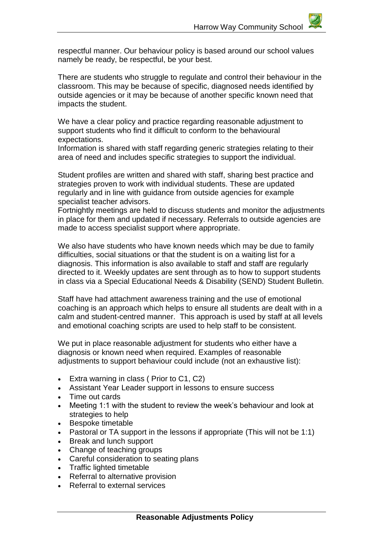respectful manner. Our behaviour policy is based around our school values namely be ready, be respectful, be your best.

There are students who struggle to regulate and control their behaviour in the classroom. This may be because of specific, diagnosed needs identified by outside agencies or it may be because of another specific known need that impacts the student.

We have a clear policy and practice regarding reasonable adjustment to support students who find it difficult to conform to the behavioural expectations.

Information is shared with staff regarding generic strategies relating to their area of need and includes specific strategies to support the individual.

Student profiles are written and shared with staff, sharing best practice and strategies proven to work with individual students. These are updated regularly and in line with guidance from outside agencies for example specialist teacher advisors.

Fortnightly meetings are held to discuss students and monitor the adjustments in place for them and updated if necessary. Referrals to outside agencies are made to access specialist support where appropriate.

We also have students who have known needs which may be due to family difficulties, social situations or that the student is on a waiting list for a diagnosis. This information is also available to staff and staff are regularly directed to it. Weekly updates are sent through as to how to support students in class via a Special Educational Needs & Disability (SEND) Student Bulletin.

Staff have had attachment awareness training and the use of emotional coaching is an approach which helps to ensure all students are dealt with in a calm and student-centred manner. This approach is used by staff at all levels and emotional coaching scripts are used to help staff to be consistent.

We put in place reasonable adjustment for students who either have a diagnosis or known need when required. Examples of reasonable adjustments to support behaviour could include (not an exhaustive list):

- Extra warning in class ( Prior to C1, C2)
- Assistant Year Leader support in lessons to ensure success
- Time out cards
- Meeting 1:1 with the student to review the week's behaviour and look at strategies to help
- Bespoke timetable
- Pastoral or TA support in the lessons if appropriate (This will not be 1:1)
- Break and lunch support
- Change of teaching groups
- Careful consideration to seating plans
- Traffic lighted timetable
- Referral to alternative provision
- Referral to external services